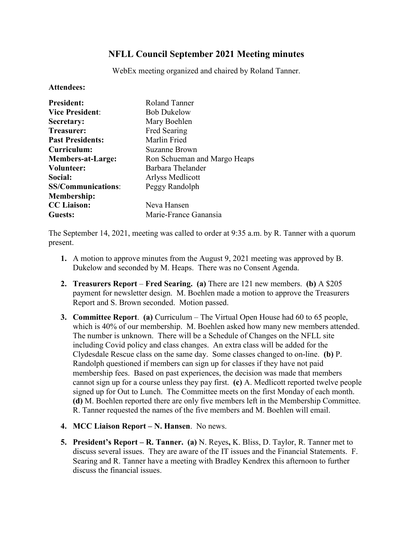## **NFLL Council September 2021 Meeting minutes**

WebEx meeting organized and chaired by Roland Tanner.

## **Attendees:**

| <b>President:</b>         | Roland Tanner                |
|---------------------------|------------------------------|
| <b>Vice President:</b>    | <b>Bob Dukelow</b>           |
| Secretary:                | Mary Boehlen                 |
| <b>Treasurer:</b>         | Fred Searing                 |
| <b>Past Presidents:</b>   | Marlin Fried                 |
| Curriculum:               | Suzanne Brown                |
| <b>Members-at-Large:</b>  | Ron Schueman and Margo Heaps |
| Volunteer:                | Barbara Thelander            |
| Social:                   | Arlyss Medlicott             |
| <b>SS/Communications:</b> | Peggy Randolph               |
| <b>Membership:</b>        |                              |
| <b>CC</b> Liaison:        | Neva Hansen                  |
| Guests:                   | Marie-France Ganansia        |

The September 14, 2021, meeting was called to order at 9:35 a.m. by R. Tanner with a quorum present.

- **1.** A motion to approve minutes from the August 9, 2021 meeting was approved by B. Dukelow and seconded by M. Heaps. There was no Consent Agenda.
- **2. Treasurers Report Fred Searing. (a)** There are 121 new members. **(b)** A \$205 payment for newsletter design. M. Boehlen made a motion to approve the Treasurers Report and S. Brown seconded. Motion passed.
- **3. Committee Report**. **(a)** Curriculum The Virtual Open House had 60 to 65 people, which is 40% of our membership. M. Boehlen asked how many new members attended. The number is unknown. There will be a Schedule of Changes on the NFLL site including Covid policy and class changes. An extra class will be added for the Clydesdale Rescue class on the same day. Some classes changed to on-line. **(b)** P. Randolph questioned if members can sign up for classes if they have not paid membership fees. Based on past experiences, the decision was made that members cannot sign up for a course unless they pay first. **(c)** A. Medlicott reported twelve people signed up for Out to Lunch. The Committee meets on the first Monday of each month. **(d)** M. Boehlen reported there are only five members left in the Membership Committee. R. Tanner requested the names of the five members and M. Boehlen will email.
- **4. MCC Liaison Report – N. Hansen**. No news.
- **5. President's Report – R. Tanner. (a)** N. Reyes**,** K. Bliss, D. Taylor, R. Tanner met to discuss several issues. They are aware of the IT issues and the Financial Statements. F. Searing and R. Tanner have a meeting with Bradley Kendrex this afternoon to further discuss the financial issues.